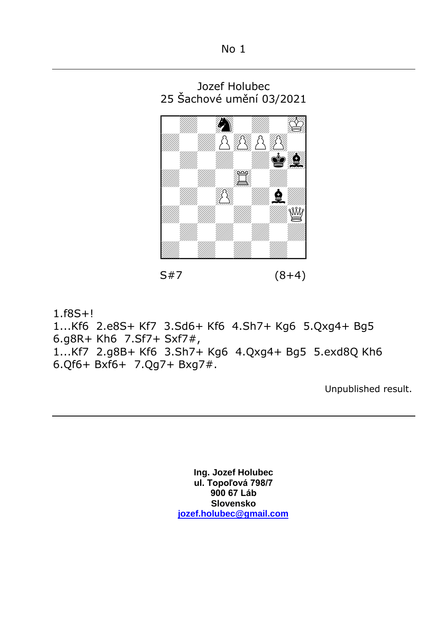## No 1





1.f8S+!

1...Kf6 2.e8S+ Kf7 3.Sd6+ Kf6 4.Sh7+ Kg6 5.Qxg4+ Bg5 6.g8R+ Kh6 7.Sf7+ Sxf7#, 1...Kf7 2.g8B+ Kf6 3.Sh7+ Kg6 4.Qxg4+ Bg5 5.exd8Q Kh6

6.Qf6+ Bxf6+ 7.Qg7+ Bxg7#.

Unpublished result.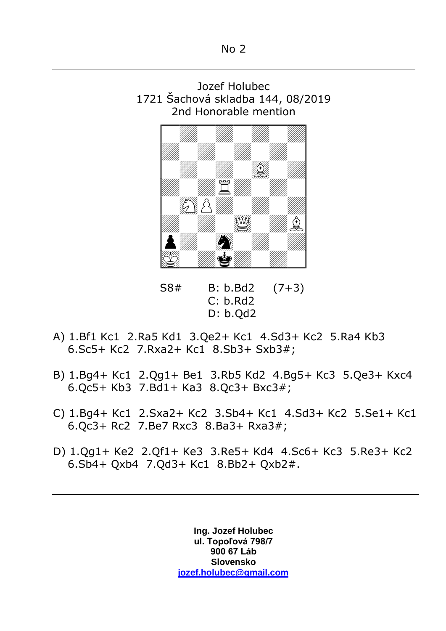



 S8# B: b.Bd2 (7+3)  $C: h.Rd2$ D: b.Qd2

- A) 1.Bf1 Kc1 2.Ra5 Kd1 3.Qe2+ Kc1 4.Sd3+ Kc2 5.Ra4 Kb3 6.Sc5+ Kc2 7.Rxa2+ Kc1 8.Sb3+ Sxb3#;
- B) 1.Bg4+ Kc1 2.Qg1+ Be1 3.Rb5 Kd2 4.Bg5+ Kc3 5.Qe3+ Kxc4 6.Qc5+ Kb3 7.Bd1+ Ka3 8.Qc3+ Bxc3#;
- C) 1.Bg4+ Kc1 2.Sxa2+ Kc2 3.Sb4+ Kc1 4.Sd3+ Kc2 5.Se1+ Kc1 6.Qc3+ Rc2 7.Be7 Rxc3 8.Ba3+ Rxa3#;
- D) 1.Qg1+ Ke2 2.Qf1+ Ke3 3.Re5+ Kd4 4.Sc6+ Kc3 5.Re3+ Kc2 6.Sb4+ Qxb4 7.Qd3+ Kc1 8.Bb2+ Qxb2#.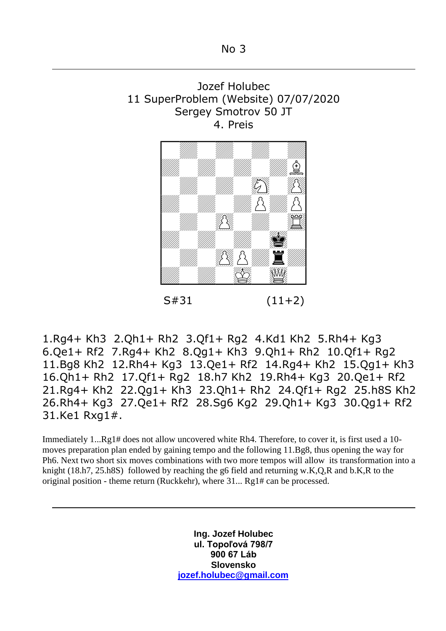



 $S#31$  (11+2)

1.Rg4+ Kh3 2.Qh1+ Rh2 3.Qf1+ Rg2 4.Kd1 Kh2 5.Rh4+ Kg3 6.Qe1+ Rf2 7.Rg4+ Kh2 8.Qg1+ Kh3 9.Qh1+ Rh2 10.Qf1+ Rg2 11.Bg8 Kh2 12.Rh4+ Kg3 13.Qe1+ Rf2 14.Rg4+ Kh2 15.Qg1+ Kh3 16.Qh1+ Rh2 17.Qf1+ Rg2 18.h7 Kh2 19.Rh4+ Kg3 20.Qe1+ Rf2 21.Rg4+ Kh2 22.Qg1+ Kh3 23.Qh1+ Rh2 24.Qf1+ Rg2 25.h8S Kh2 26.Rh4+ Kg3 27.Qe1+ Rf2 28.Sg6 Kg2 29.Qh1+ Kg3 30.Qg1+ Rf2 31.Ke1 Rxg1#.

Immediately 1...Rg1# does not allow uncovered white Rh4. Therefore, to cover it, is first used a 10 moves preparation plan ended by gaining tempo and the following 11.Bg8, thus opening the way for Ph6. Next two short six moves combinations with two more tempos will allow its transformation into a knight (18.h7, 25.h8S) followed by reaching the g6 field and returning w.K,Q,R and b.K,R to the original position - theme return (Ruckkehr), where 31... Rg1# can be processed.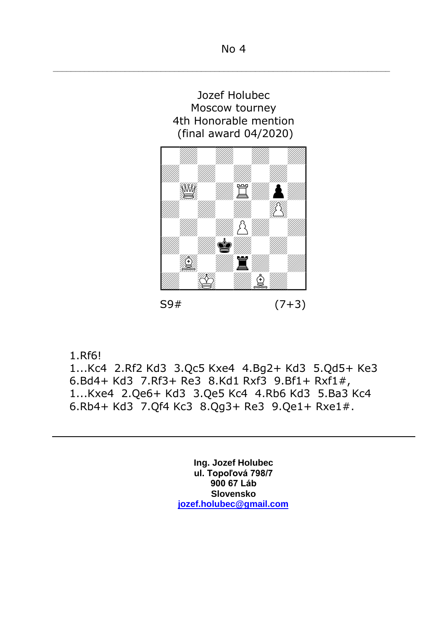–––––––––––––––––––––––––––––––––––––––––––––––––––––––––––––––––––––––––––





S9# (7+3)

1.Rf6!

1...Kc4 2.Rf2 Kd3 3.Qc5 Kxe4 4.Bg2+ Kd3 5.Qd5+ Ke3 6.Bd4+ Kd3 7.Rf3+ Re3 8.Kd1 Rxf3 9.Bf1+ Rxf1#, 1...Kxe4 2.Qe6+ Kd3 3.Qe5 Kc4 4.Rb6 Kd3 5.Ba3 Kc4 6.Rb4+ Kd3 7.Qf4 Kc3 8.Qg3+ Re3 9.Qe1+ Rxe1#.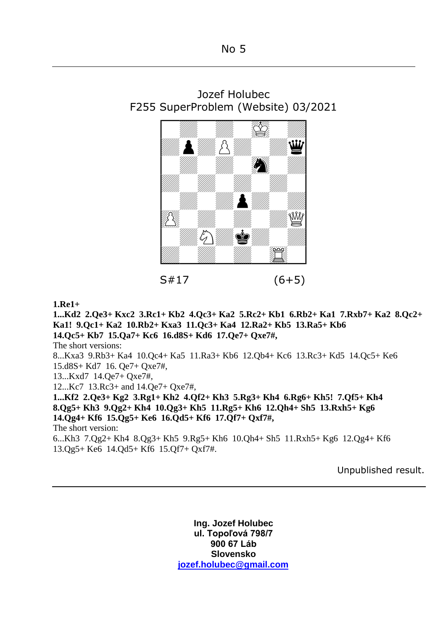## No 5



Jozef Holubec F255 SuperProblem (Website) 03/2021

## $S#17$  (6+5)

## **1.Re1+**

**1...Kd2 2.Qe3+ Kxc2 3.Rc1+ Kb2 4.Qc3+ Ka2 5.Rc2+ Kb1 6.Rb2+ Ka1 7.Rxb7+ Ka2 8.Qc2+ Ka1! 9.Qc1+ Ka2 10.Rb2+ Kxa3 11.Qc3+ Ka4 12.Ra2+ Kb5 13.Ra5+ Kb6 14.Qc5+ Kb7 15.Qa7+ Kc6 16.d8S+ Kd6 17.Qe7+ Qxe7#,** The short versions: 8...Kxa3 9.Rb3+ Ka4 10.Qc4+ Ka5 11.Ra3+ Kb6 12.Qb4+ Kc6 13.Rc3+ Kd5 14.Qc5+ Ke6 15.d8S+ Kd7 16. Qe7+ Qxe7#, 13...Kxd7 14.Qe7+ Qxe7#, 12...Kc7 13.Rc3+ and 14.Qe7+ Qxe7#, **1...Kf2 2.Qe3+ Kg2 3.Rg1+ Kh2 4.Qf2+ Kh3 5.Rg3+ Kh4 6.Rg6+ Kh5! 7.Qf5+ Kh4 8.Qg5+ Kh3 9.Qg2+ Kh4 10.Qg3+ Kh5 11.Rg5+ Kh6 12.Qh4+ Sh5 13.Rxh5+ Kg6 14.Qg4+ Kf6 15.Qg5+ Ke6 16.Qd5+ Kf6 17.Qf7+ Qxf7#,** The short version: 6...Kh3 7.Qg2+ Kh4 8.Qg3+ Kh5 9.Rg5+ Kh6 10.Qh4+ Sh5 11.Rxh5+ Kg6 12.Qg4+ Kf6 13.Qg5+ Ke6 14.Qd5+ Kf6 15.Qf7+ Qxf7#.

Unpublished result.